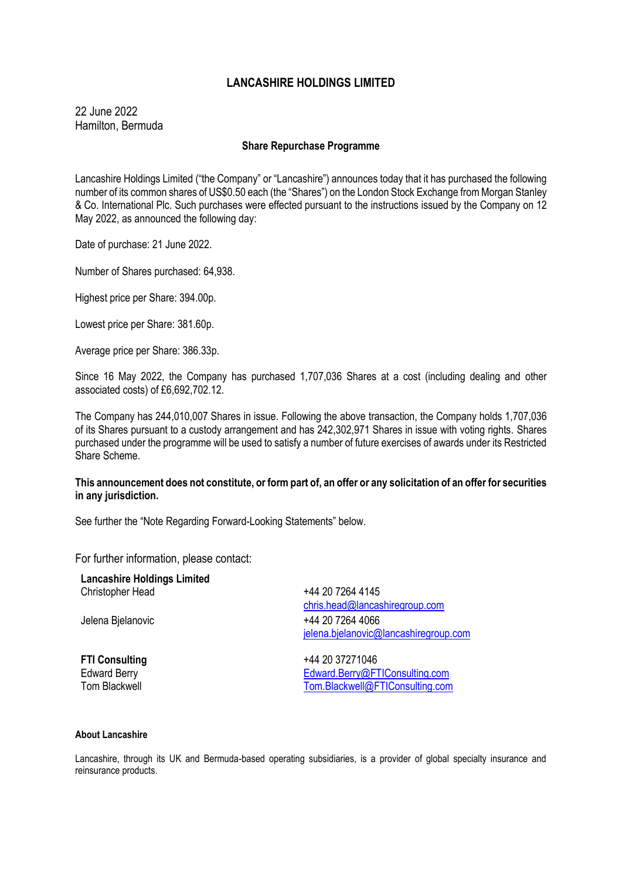# **LANCASHIRE HOLDINGS LIMITED**

22 June 2022 Hamilton, Bermuda

## **Share Repurchase Programme**

Lancashire Holdings Limited ("the Company" or "Lancashire") announces today that it has purchased the following number of its common shares of US\$0.50 each (the "Shares") on the London Stock Exchange from Morgan Stanley & Co. International Plc. Such purchases were effected pursuant to the instructions issued by the Company on 12 May 2022, as announced the following day:

Date of purchase: 21 June 2022.

Number of Shares purchased: 64,938.

Highest price per Share: 394.00p.

Lowest price per Share: 381.60p.

Average price per Share: 386.33p.

Since 16 May 2022, the Company has purchased 1,707,036 Shares at a cost (including dealing and other associated costs) of £6,692,702.12.

The Company has 244,010,007 Shares in issue. Following the above transaction, the Company holds 1,707,036 of its Shares pursuant to a custody arrangement and has 242,302,971 Shares in issue with voting rights. Shares purchased under the programme will be used to satisfy a number of future exercises of awards under its Restricted Share Scheme.

## **This announcement does not constitute, or form part of, an offer or any solicitation of an offer for securities in any jurisdiction.**

See further the "Note Regarding Forward-Looking Statements" below.

For further information, please contact:

**Lancashire Holdings Limited** Christopher Head **1988** +44 20 7264 4145

[chris.head@lancashiregroup.com](mailto:chris.head@lancashiregroup.com) Jelena Bjelanovic +44 20 7264 4066 [jelena.bjelanovic@lancashiregroup.com](mailto:jelena.bjelanovic@lancashiregroup.com)

**FTI Consulting**  $+442037271046$ Edward Berry [Edward.Berry@FTIConsulting.com](mailto:Edward.Berry@FTIConsulting.com) Tom Blackwell [Tom.Blackwell@FTIConsulting.com](mailto:Tom.Blackwell@FTIConsulting.com)

### **About Lancashire**

Lancashire, through its UK and Bermuda-based operating subsidiaries, is a provider of global specialty insurance and reinsurance products.